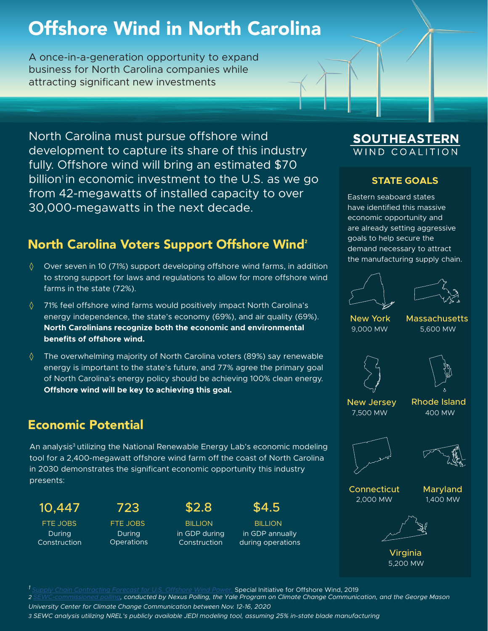## Offshore Wind in North Carolina

A once-in-a-generation opportunity to expand business for North Carolina companies while attracting significant new investments

North Carolina must pursue offshore wind development to capture its share of this industry fully. Offshore wind will bring an estimated \$70 billion<sup> $1$ </sup> in economic investment to the U.S. as we go from 42-megawatts of installed capacity to over 30,000-megawatts in the next decade.

## North Carolina Voters Support Offshore Wind<sup>2</sup>

- $\Diamond$  Over seven in 10 (71%) support developing offshore wind farms, in addition to strong support for laws and regulations to allow for more offshore wind farms in the state (72%).
- $\Diamond$  71% feel offshore wind farms would positively impact North Carolina's energy independence, the state's economy (69%), and air quality (69%). **North Carolinians recognize both the economic and environmental benefits of offshore wind.**
- ◊ The overwhelming majority of North Carolina voters (89%) say renewable energy is important to the state's future, and 77% agree the primary goal of North Carolina's energy policy should be achieving 100% clean energy. **Offshore wind will be key to achieving this goal.**

### Economic Potential

An analysis<sup>3</sup> utilizing the National Renewable Energy Lab's economic modeling tool for a 2,400-megawatt offshore wind farm off the coast of North Carolina in 2030 demonstrates the significant economic opportunity this industry presents:

During Construction

During **Operations** 

10,447 723 \$2.8 \$4.5



FTE JOBS FTE JOBS BILLION BILLION in GDP annually during operations

#### **SOUTHEASTERN** IND COAL

#### **STATE GOALS**

Eastern seaboard states have identified this massive economic opportunity and are already setting aggressive goals to help secure the demand necessary to attract the manufacturing supply chain.





New York Massachusetts 9,000 MW 5,600 MW



New Jersey 7,500 MW

Rhode Island 400 MW





Connecticut 2,000 MW

Maryland 1,400 MW



Virginia 5,200 MW

**Special Initiative for Offshore Wind, 2019** 

*2 SEWC-commissioned polling, conducted by Nexus Polling, the Yale Program on Climate Change Communication, and the George Mason* 

*University Center for Climate Change Communication between Nov. 12-16, 2020*

*3 SEWC analysis utilizing NREL's publicly available JEDI modeling tool, assuming 25% in-state blade manufacturing*